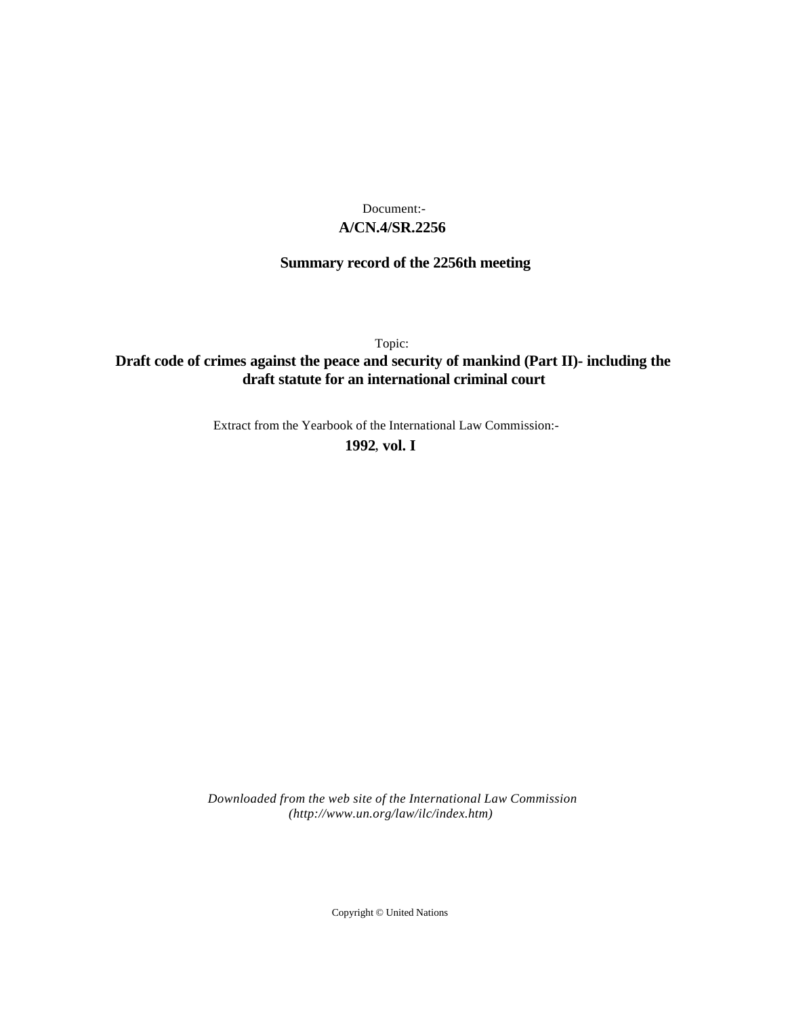## **A/CN.4/SR.2256** Document:-

# **Summary record of the 2256th meeting**

Topic:

# **Draft code of crimes against the peace and security of mankind (Part II)- including the draft statute for an international criminal court**

Extract from the Yearbook of the International Law Commission:-

**1992** , **vol. I**

*Downloaded from the web site of the International Law Commission (http://www.un.org/law/ilc/index.htm)*

Copyright © United Nations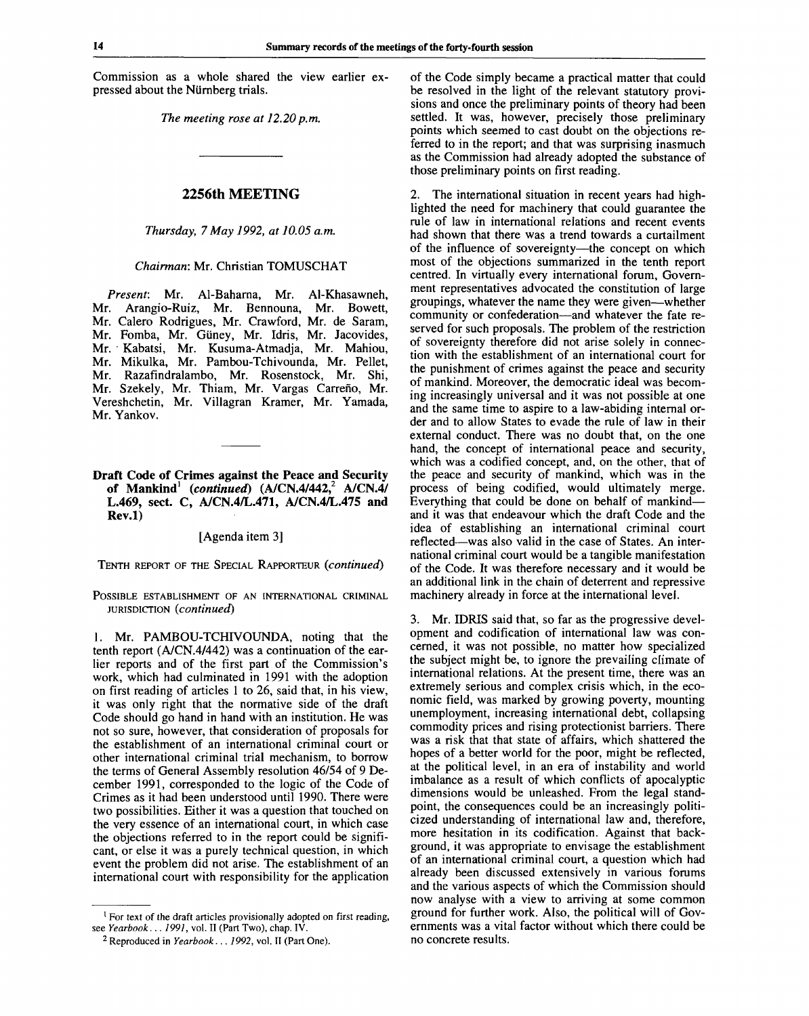Commission as a whole shared the view earlier expressed about the Niirnberg trials.

*The meeting rose at 12.20p.m.*

### **2256th MEETING**

#### *Thursday, 7May 1992, at 10.05 a.m.*

#### *Chairman:* Mr. Christian TOMUSCHAT

*Present*: Mr. Al-Baharna, Mr. Al-Khasawneh,<br>Mr. Arangio-Ruiz, Mr. Bennouna, Mr. Bowett, Mr. Arangio-Ruiz, Mr. Bennouna, Mr. Bowett, Mr. Calero Rodrigues, Mr. Crawford, Mr. de Saram, Mr. Fomba, Mr. Güney, Mr. Idris, Mr. Jacovides, Mr. Kabatsi, Mr. Kusuma-Atmadja, Mr. Mahiou, Mr. Mikulka, Mr. Pambou-Tchivounda, Mr. Pellet, Mr. Razafindralambo, Mr. Rosenstock, Mr. Shi, Mr. Szekely, Mr. Thiam, Mr. Vargas Carreño, Mr. Vereshchetin, Mr. Villagran Kramer, Mr. Yamada, Mr. Yankov.

#### **Draft Code of Crimes against the Peace and Security of Mankind<sup>1</sup>**  *(continued)* **(A/CN.4/442,<sup>2</sup> A/CN.4/ L.469, sect. C, A/CN.4/L.471, A/CN.4/L.475 and Rev.l)**

#### [Agenda item 3]

TENTH REPORT OF THE SPECIAL RAPPORTEUR *(continued)*

POSSIBLE ESTABLISHMENT OF AN INTERNATIONAL CRIMINAL JURISDICTION *(continued)*

1. Mr. PAMBOU-TCHIVOUNDA, noting that the tenth report (A/CN.4/442) was a continuation of the earlier reports and of the first part of the Commission's work, which had culminated in 1991 with the adoption on first reading of articles 1 to 26, said that, in his view, it was only right that the normative side of the draft Code should go hand in hand with an institution. He was not so sure, however, that consideration of proposals for the establishment of an international criminal court or other international criminal trial mechanism, to borrow the terms of General Assembly resolution 46/54 of 9 December 1991, corresponded to the logic of the Code of Crimes as it had been understood until 1990. There were two possibilities. Either it was a question that touched on the very essence of an international court, in which case the objections referred to in the report could be significant, or else it was a purely technical question, in which event the problem did not arise. The establishment of an international court with responsibility for the application

of the Code simply became a practical matter that could be resolved in the light of the relevant statutory provisions and once the preliminary points of theory had been settled. It was, however, precisely those preliminary points which seemed to cast doubt on the objections referred to in the report; and that was surprising inasmuch as the Commission had already adopted the substance of those preliminary points on first reading.

2. The international situation in recent years had highlighted the need for machinery that could guarantee the rule of law in international relations and recent events had shown that there was a trend towards a curtailment of the influence of sovereignty—the concept on which most of the objections summarized in the tenth report centred. In virtually every international forum, Government representatives advocated the constitution of large groupings, whatever the name they were given—whether community or confederation—and whatever the fate reserved for such proposals. The problem of the restriction of sovereignty therefore did not arise solely in connection with the establishment of an international court for the punishment of crimes against the peace and security of mankind. Moreover, the democratic ideal was becoming increasingly universal and it was not possible at one and the same time to aspire to a law-abiding internal order and to allow States to evade the rule of law in their external conduct. There was no doubt that, on the one hand, the concept of international peace and security, which was a codified concept, and, on the other, that of the peace and security of mankind, which was in the process of being codified, would ultimately merge. Everything that could be done on behalf of mankind and it was that endeavour which the draft Code and the idea of establishing an international criminal court reflected—was also valid in the case of States. An international criminal court would be a tangible manifestation of the Code. It was therefore necessary and it would be an additional link in the chain of deterrent and repressive machinery already in force at the international level.

3. Mr. IDRIS said that, so far as the progressive development and codification of international law was concerned, it was not possible, no matter how specialized the subject might be, to ignore the prevailing climate of international relations. At the present time, there was an extremely serious and complex crisis which, in the economic field, was marked by growing poverty, mounting unemployment, increasing international debt, collapsing commodity prices and rising protectionist barriers. There was a risk that that state of affairs, which shattered the hopes of a better world for the poor, might be reflected, at the political level, in an era of instability and world imbalance as a result of which conflicts of apocalyptic dimensions would be unleashed. From the legal standpoint, the consequences could be an increasingly politicized understanding of international law and, therefore, more hesitation in its codification. Against that background, it was appropriate to envisage the establishment of an international criminal court, a question which had already been discussed extensively in various forums and the various aspects of which the Commission should now analyse with a view to arriving at some common ground for further work. Also, the political will of Governments was a vital factor without which there could be no concrete results.

<sup>&</sup>lt;sup>1</sup> For text of the draft articles provisionally adopted on first reading, see *Yearbook... 199],* vol. II (Part Two), chap. IV.

<sup>2</sup> Reproduced in *Yearbook... 1992,* vol. II (Part One).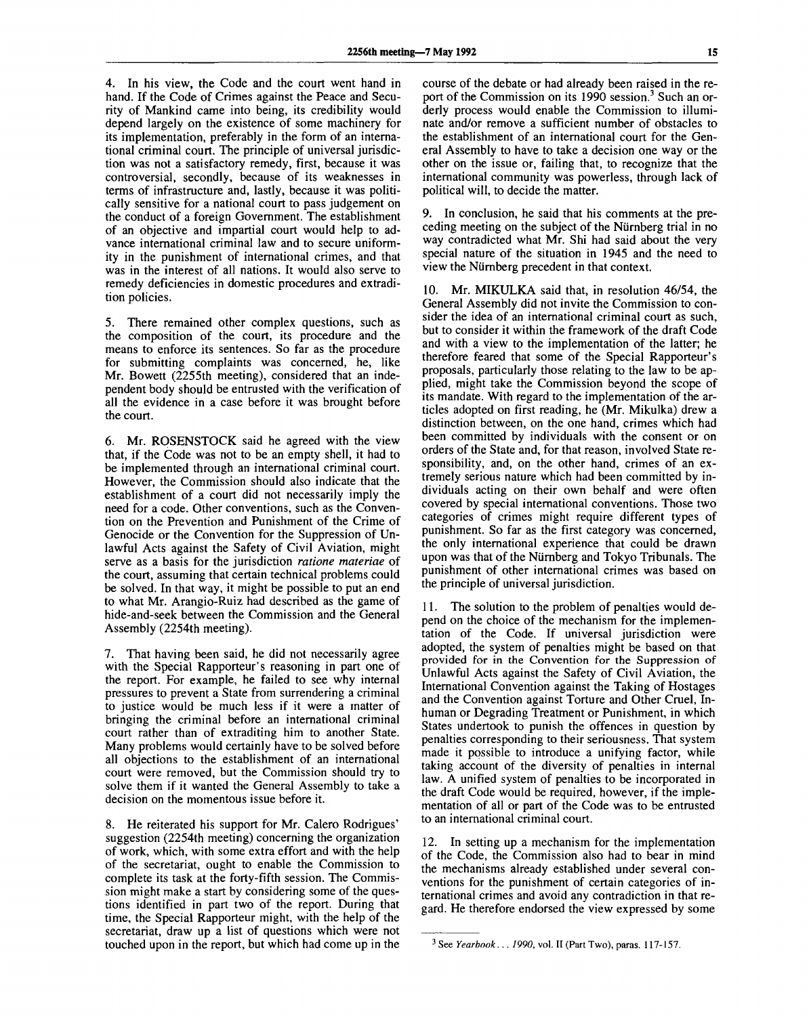4. In his view, the Code and the court went hand in hand. If the Code of Crimes against the Peace and Security of Mankind came into being, its credibility would depend largely on the existence of some machinery for its implementation, preferably in the form of an international criminal court. The principle of universal jurisdiction was not a satisfactory remedy, first, because it was controversial, secondly, because of its weaknesses in terms of infrastructure and, lastly, because it was politically sensitive for a national court to pass judgement on the conduct of a foreign Government. The establishment of an objective and impartial court would help to advance international criminal law and to secure uniformity in the punishment of international crimes, and that was in the interest of all nations. It would also serve to remedy deficiencies in domestic procedures and extradition policies.

5. There remained other complex questions, such as the composition of the court, its procedure and the means to enforce its sentences. So far as the procedure for submitting complaints was concerned, he, like Mr. Bowett  $(2255th$  meeting), considered that an independent body should be entrusted with the verification of all the evidence in a case before it was brought before the court.

6. Mr. ROSENSTOCK said he agreed with the view that, if the Code was not to be an empty shell, it had to be implemented through an international criminal court. However, the Commission should also indicate that the establishment of a court did not necessarily imply the need for a code. Other conventions, such as the Convention on the Prevention and Punishment of the Crime of Genocide or the Convention for the Suppression of Unlawful Acts against the Safety of Civil Aviation, might serve as a basis for the jurisdiction *ratione materiae* of the court, assuming that certain technical problems could be solved. In that way, it might be possible to put an end to what Mr. Arangio-Ruiz had described as the game of hide-and-seek between the Commission and the General Assembly (2254th meeting).

7. That having been said, he did not necessarily agree with the Special Rapporteur's reasoning in part one of the report. For example, he failed to see why internal pressures to prevent a State from surrendering a criminal to justice would be much less if it were a matter of bringing the criminal before an international criminal court rather than of extraditing him to another State. Many problems would certainly have to be solved before all objections to the establishment of an international court were removed, but the Commission should try to solve them if it wanted the General Assembly to take a decision on the momentous issue before it.

8. He reiterated his support for Mr. Calero Rodrigues' suggestion (2254th meeting) concerning the organization of work, which, with some extra effort and with the help of the secretariat, ought to enable the Commission to complete its task at the forty-fifth session. The Commission might make a start by considering some of the questions identified in part two of the report. During that time, the Special Rapporteur might, with the help of the secretariat, draw up a list of questions which were not touched upon in the report, but which had come up in the

course of the debate or had already been raised in the report of the Commission on its 1990 session.<sup>3</sup> Such an orderly process would enable the Commission to illuminate and/or remove a sufficient number of obstacles to the establishment of an international court for the General Assembly to have to take a decision one way or the other on the issue or, failing that, to recognize that the international community was powerless, through lack of political will, to decide the matter.

9. In conclusion, he said that his comments at the preceding meeting on the subject of the Niirnberg trial in no way contradicted what Mr. Shi had said about the very special nature of the situation in 1945 and the need to view the Niirnberg precedent in that context.

10. Mr. MIKULKA said that, in resolution 46/54, the General Assembly did not invite the Commission to consider the idea of an international criminal court as such, but to consider it within the framework of the draft Code and with a view to the implementation of the latter; he therefore feared that some of the Special Rapporteur's proposals, particularly those relating to the law to be applied, might take the Commission beyond the scope of its mandate. With regard to the implementation of the articles adopted on first reading, he (Mr. Mikulka) drew a distinction between, on the one hand, crimes which had been committed by individuals with the consent or on orders of the State and, for that reason, involved State responsibility, and, on the other hand, crimes of an extremely serious nature which had been committed by individuals acting on their own behalf and were often covered by special international conventions. Those two categories of crimes might require different types of punishment. So far as the first category was concerned, the only international experience that could be drawn upon was that of the Niirnberg and Tokyo Tribunals. The punishment of other international crimes was based on the principle of universal jurisdiction.

11. The solution to the problem of penalties would depend on the choice of the mechanism for the implementation of the Code. If universal jurisdiction were adopted, the system of penalties might be based on that provided for in the Convention for the Suppression of Unlawful Acts against the Safety of Civil Aviation, the International Convention against the Taking of Hostages and the Convention against Torture and Other Cruel, Inhuman or Degrading Treatment or Punishment, in which States undertook to punish the offences in question by penalties corresponding to their seriousness. That system made it possible to introduce a unifying factor, while taking account of the diversity of penalties in internal law. A unified system of penalties to be incorporated in the draft Code would be required, however, if the implementation of all or part of the Code was to be entrusted to an international criminal court.

12. In setting up a mechanism for the implementation of the Code, the Commission also had to bear in mind the mechanisms already established under several conventions for the punishment of certain categories of international crimes and avoid any contradiction in that regard. He therefore endorsed the view expressed by some

<sup>3</sup> See *Yearbook... 1990,* vol. II (Part Two), paras. 117-157.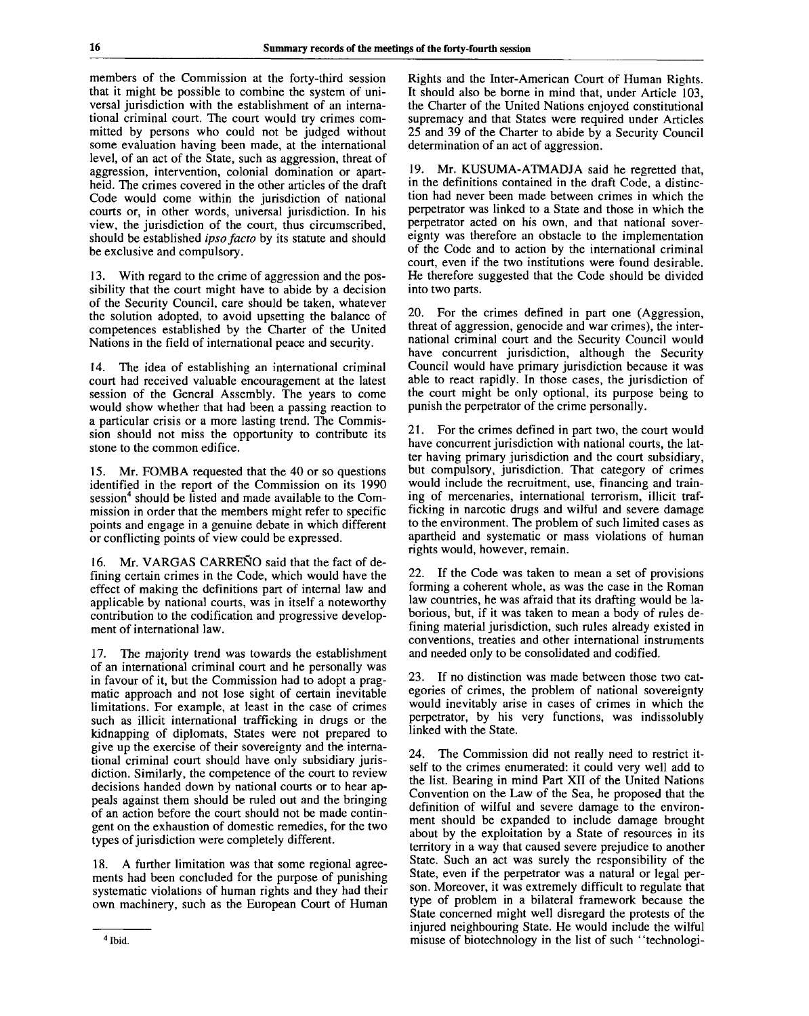members of the Commission at the forty-third session that it might be possible to combine the system of universal jurisdiction with the establishment of an international criminal court. The court would try crimes committed by persons who could not be judged without some evaluation having been made, at the international level, of an act of the State, such as aggression, threat of aggression, intervention, colonial domination or apartheid. The crimes covered in the other articles of the draft Code would come within the jurisdiction of national courts or, in other words, universal jurisdiction. In his view, the jurisdiction of the court, thus circumscribed, should be established *ipso facto* by its statute and should be exclusive and compulsory.

13. With regard to the crime of aggression and the possibility that the court might have to abide by a decision of the Security Council, care should be taken, whatever the solution adopted, to avoid upsetting the balance of competences established by the Charter of the United Nations in the field of international peace and security.

14. The idea of establishing an international criminal court had received valuable encouragement at the latest session of the General Assembly. The years to come would show whether that had been a passing reaction to a particular crisis or a more lasting trend. The Commission should not miss the opportunity to contribute its stone to the common edifice.

15. Mr. FOMBA requested that the 40 or so questions identified in the report of the Commission on its 1990 session<sup>4</sup> should be listed and made available to the Commission in order that the members might refer to specific points and engage in a genuine debate in which different or conflicting points of view could be expressed.

16. Mr. VARGAS CARRENO said that the fact of defining certain crimes in the Code, which would have the effect of making the definitions part of internal law and applicable by national courts, was in itself a noteworthy contribution to the codification and progressive development of international law.

17. The majority trend was towards the establishment of an international criminal court and he personally was in favour of it, but the Commission had to adopt a pragmatic approach and not lose sight of certain inevitable limitations. For example, at least in the case of crimes such as illicit international trafficking in drugs or the kidnapping of diplomats, States were not prepared to give up the exercise of their sovereignty and the international criminal court should have only subsidiary jurisdiction. Similarly, the competence of the court to review decisions handed down by national courts or to hear appeals against them should be ruled out and the bringing of an action before the court should not be made contingent on the exhaustion of domestic remedies, for the two types of jurisdiction were completely different.

18. A further limitation was that some regional agreements had been concluded for the purpose of punishing systematic violations of human rights and they had their own machinery, such as the European Court of Human

19. Mr. KUSUMA-ATMADJA said he regretted that, in the definitions contained in the draft Code, a distinction had never been made between crimes in which the perpetrator was linked to a State and those in which the perpetrator acted on his own, and that national sovereignty was therefore an obstacle to the implementation of the Code and to action by the international criminal court, even if the two institutions were found desirable. He therefore suggested that the Code should be divided into two parts.

20. For the crimes defined in part one (Aggression, threat of aggression, genocide and war crimes), the international criminal court and the Security Council would have concurrent jurisdiction, although the Security Council would have primary jurisdiction because it was able to react rapidly. In those cases, the jurisdiction of the court might be only optional, its purpose being to punish the perpetrator of the crime personally.

21. For the crimes defined in part two, the court would have concurrent jurisdiction with national courts, the latter having primary jurisdiction and the court subsidiary, but compulsory, jurisdiction. That category of crimes would include the recruitment, use, financing and training of mercenaries, international terrorism, illicit trafficking in narcotic drugs and wilful and severe damage to the environment. The problem of such limited cases as apartheid and systematic or mass violations of human rights would, however, remain.

22. If the Code was taken to mean a set of provisions forming a coherent whole, as was the case in the Roman law countries, he was afraid that its drafting would be laborious, but, if it was taken to mean a body of rules defining material jurisdiction, such rules already existed in conventions, treaties and other international instruments and needed only to be consolidated and codified.

23. If no distinction was made between those two categories of crimes, the problem of national sovereignty would inevitably arise in cases of crimes in which the perpetrator, by his very functions, was indissolubly linked with the State.

24. The Commission did not really need to restrict itself to the crimes enumerated: it could very well add to the list. Bearing in mind Part XII of the United Nations Convention on the Law of the Sea, he proposed that the definition of wilful and severe damage to the environment should be expanded to include damage brought about by the exploitation by a State of resources in its territory in a way that caused severe prejudice to another State. Such an act was surely the responsibility of the State, even if the perpetrator was a natural or legal person. Moreover, it was extremely difficult to regulate that type of problem in a bilateral framework because the State concerned might well disregard the protests of the injured neighbouring State. He would include the wilful misuse of biotechnology in the list of such "technologi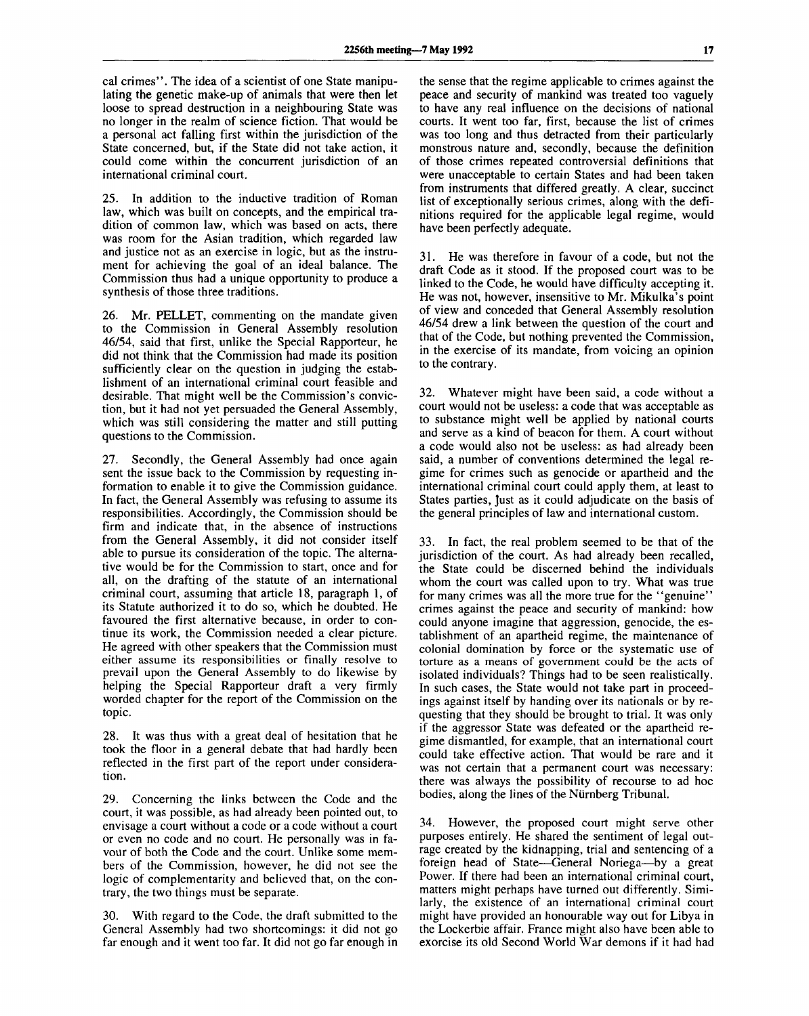cal crimes". The idea of a scientist of one State manipulating the genetic make-up of animals that were then let loose to spread destruction in a neighbouring State was no longer in the realm of science fiction. That would be a personal act falling first within the jurisdiction of the State concerned, but, if the State did not take action, it could come within the concurrent jurisdiction of an international criminal court.

25. In addition to the inductive tradition of Roman law, which was built on concepts, and the empirical tradition of common law, which was based on acts, there was room for the Asian tradition, which regarded law and justice not as an exercise in logic, but as the instrument for achieving the goal of an ideal balance. The Commission thus had a unique opportunity to produce a synthesis of those three traditions.

26. Mr. PELLET, commenting on the mandate given to the Commission in General Assembly resolution 46/54, said that first, unlike the Special Rapporteur, he did not think that the Commission had made its position sufficiently clear on the question in judging the establishment of an international criminal court feasible and desirable. That might well be the Commission's conviction, but it had not yet persuaded the General Assembly, which was still considering the matter and still putting questions to the Commission.

27. Secondly, the General Assembly had once again sent the issue back to the Commission by requesting information to enable it to give the Commission guidance. In fact, the General Assembly was refusing to assume its responsibilities. Accordingly, the Commission should be firm and indicate that, in the absence of instructions from the General Assembly, it did not consider itself able to pursue its consideration of the topic. The alternative would be for the Commission to start, once and for all, on the drafting of the statute of an international criminal court, assuming that article 18, paragraph 1, of its Statute authorized it to do so, which he doubted. He favoured the first alternative because, in order to continue its work, the Commission needed a clear picture. He agreed with other speakers that the Commission must either assume its responsibilities or finally resolve to prevail upon the General Assembly to do likewise by helping the Special Rapporteur draft a very firmly worded chapter for the report of the Commission on the topic.

28. It was thus with a great deal of hesitation that he took the floor in a general debate that had hardly been reflected in the first part of the report under consideration.

29. Concerning the links between the Code and the court, it was possible, as had already been pointed out, to envisage a court without a code or a code without a court or even no code and no court. He personally was in favour of both the Code and the court. Unlike some members of the Commission, however, he did not see the logic of complementarity and believed that, on the contrary, the two things must be separate.

30. With regard to the Code, the draft submitted to the General Assembly had two shortcomings: it did not go far enough and it went too far. It did not go far enough in the sense that the regime applicable to crimes against the peace and security of mankind was treated too vaguely to have any real influence on the decisions of national courts. It went too far, first, because the list of crimes was too long and thus detracted from their particularly monstrous nature and, secondly, because the definition of those crimes repeated controversial definitions that were unacceptable to certain States and had been taken from instruments that differed greatly. A clear, succinct list of exceptionally serious crimes, along with the definitions required for the applicable legal regime, would have been perfectly adequate.

31. He was therefore in favour of a code, but not the draft Code as it stood. If the proposed court was to be linked to the Code, he would have difficulty accepting it. He was not, however, insensitive to Mr. Mikulka's point of view and conceded that General Assembly resolution 46/54 drew a link between the question of the court and that of the Code, but nothing prevented the Commission, in the exercise of its mandate, from voicing an opinion to the contrary.

32. Whatever might have been said, a code without a court would not be useless: a code that was acceptable as to substance might well be applied by national courts and serve as a kind of beacon for them. A court without a code would also not be useless: as had already been said, a number of conventions determined the legal regime for crimes such as genocide or apartheid and the international criminal court could apply them, at least to States parties, just as it could adjudicate on the basis of the general principles of law and international custom.

33. In fact, the real problem seemed to be that of the jurisdiction of the court. As had already been recalled, the State could be discerned behind the individuals whom the court was called upon to try. What was true for many crimes was all the more true for the "genuine" crimes against the peace and security of mankind: how could anyone imagine that aggression, genocide, the establishment of an apartheid regime, the maintenance of colonial domination by force or the systematic use of torture as a means of government could be the acts of isolated individuals? Things had to be seen realistically. In such cases, the State would not take part in proceedings against itself by handing over its nationals or by requesting that they should be brought to trial. It was only if the aggressor State was defeated or the apartheid regime dismantled, for example, that an international court could take effective action. That would be rare and it was not certain that a permanent court was necessary: there was always the possibility of recourse to ad hoc bodies, along the lines of the Niirnberg Tribunal.

34. However, the proposed court might serve other purposes entirely. He shared the sentiment of legal outrage created by the kidnapping, trial and sentencing of a foreign head of State—General Noriega—by a great Power. If there had been an international criminal court, matters might perhaps have turned out differently. Similarly, the existence of an international criminal court might have provided an honourable way out for Libya in the Lockerbie affair. France might also have been able to exorcise its old Second World War demons if it had had